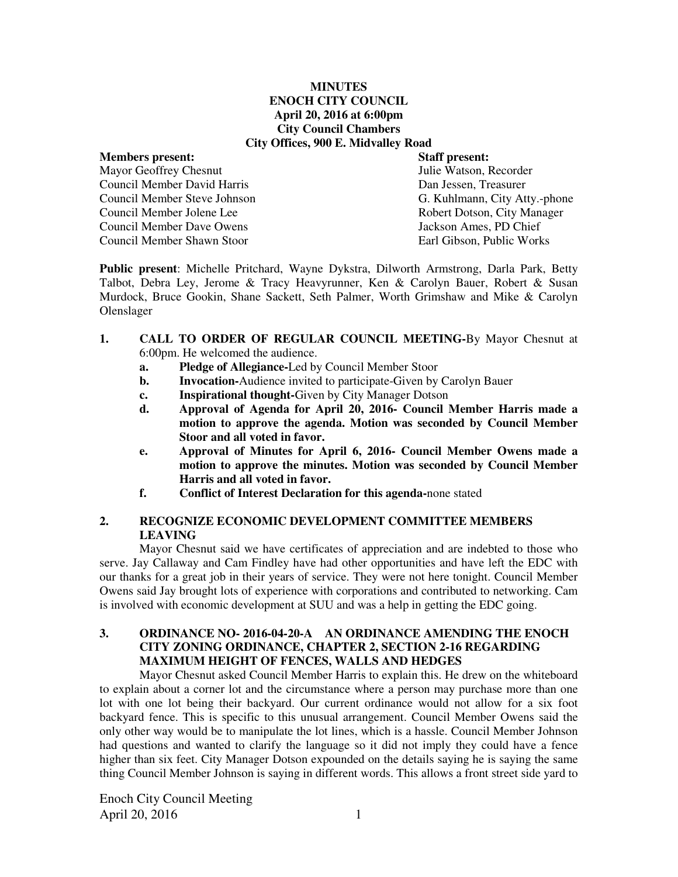#### **MINUTES ENOCH CITY COUNCIL April 20, 2016 at 6:00pm City Council Chambers City Offices, 900 E. Midvalley Road**

**Members present:**  $\begin{array}{ccc}\n\bullet & \bullet & \bullet \\
\bullet & \bullet & \bullet \\
\bullet & \bullet & \bullet\n\end{array}$  **Staff present:**  $\begin{array}{ccc}\n\bullet & \bullet & \bullet \\
\bullet & \bullet & \bullet \\
\bullet & \bullet & \bullet\n\end{array}$  *Mavor Geoffrey Chesnut* Mayor Geoffrey Chesnut Council Member David Harris Dan Jessen, Treasurer Council Member Jolene Lee<br>
Council Member Dave Owens<br>
Council Member Dave Owens<br>
Sackson Ames. PD Chief Council Member Dave Owens Council Member Shawn Stoor Earl Gibson, Public Works

Council Member Steve Johnson G. Kuhlmann, City Atty.-phone

**Public present**: Michelle Pritchard, Wayne Dykstra, Dilworth Armstrong, Darla Park, Betty Talbot, Debra Ley, Jerome & Tracy Heavyrunner, Ken & Carolyn Bauer, Robert & Susan Murdock, Bruce Gookin, Shane Sackett, Seth Palmer, Worth Grimshaw and Mike & Carolyn Olenslager

- **1. CALL TO ORDER OF REGULAR COUNCIL MEETING-**By Mayor Chesnut at 6:00pm. He welcomed the audience.
	- **a. Pledge of Allegiance-**Led by Council Member Stoor
	- **b.** Invocation-Audience invited to participate-Given by Carolyn Bauer
	- **c. Inspirational thought-**Given by City Manager Dotson
	- **d. Approval of Agenda for April 20, 2016- Council Member Harris made a motion to approve the agenda. Motion was seconded by Council Member Stoor and all voted in favor.**
	- **e. Approval of Minutes for April 6, 2016- Council Member Owens made a motion to approve the minutes. Motion was seconded by Council Member Harris and all voted in favor.**
	- **f. Conflict of Interest Declaration for this agenda-**none stated

# **2. RECOGNIZE ECONOMIC DEVELOPMENT COMMITTEE MEMBERS LEAVING**

Mayor Chesnut said we have certificates of appreciation and are indebted to those who serve. Jay Callaway and Cam Findley have had other opportunities and have left the EDC with our thanks for a great job in their years of service. They were not here tonight. Council Member Owens said Jay brought lots of experience with corporations and contributed to networking. Cam is involved with economic development at SUU and was a help in getting the EDC going.

# **3. ORDINANCE NO- 2016-04-20-A AN ORDINANCE AMENDING THE ENOCH CITY ZONING ORDINANCE, CHAPTER 2, SECTION 2-16 REGARDING MAXIMUM HEIGHT OF FENCES, WALLS AND HEDGES**

Mayor Chesnut asked Council Member Harris to explain this. He drew on the whiteboard to explain about a corner lot and the circumstance where a person may purchase more than one lot with one lot being their backyard. Our current ordinance would not allow for a six foot backyard fence. This is specific to this unusual arrangement. Council Member Owens said the only other way would be to manipulate the lot lines, which is a hassle. Council Member Johnson had questions and wanted to clarify the language so it did not imply they could have a fence higher than six feet. City Manager Dotson expounded on the details saying he is saying the same thing Council Member Johnson is saying in different words. This allows a front street side yard to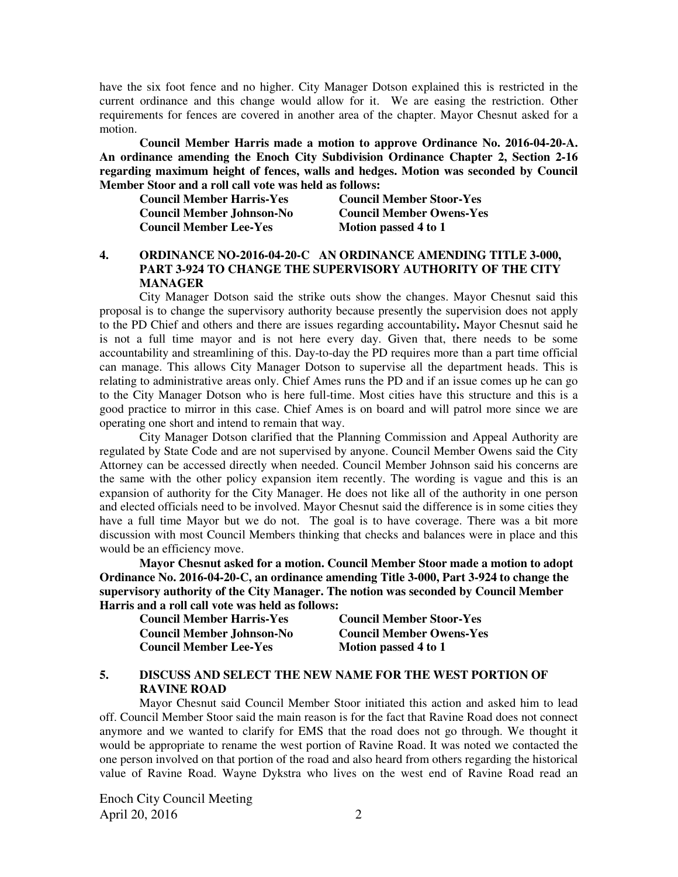have the six foot fence and no higher. City Manager Dotson explained this is restricted in the current ordinance and this change would allow for it. We are easing the restriction. Other requirements for fences are covered in another area of the chapter. Mayor Chesnut asked for a motion.

**Council Member Harris made a motion to approve Ordinance No. 2016-04-20-A. An ordinance amending the Enoch City Subdivision Ordinance Chapter 2, Section 2-16 regarding maximum height of fences, walls and hedges. Motion was seconded by Council Member Stoor and a roll call vote was held as follows:** 

| <b>Council Member Harris-Yes</b> | <b>Council Member Stoor-Yes</b> |
|----------------------------------|---------------------------------|
| <b>Council Member Johnson-No</b> | <b>Council Member Owens-Yes</b> |
| <b>Council Member Lee-Yes</b>    | Motion passed 4 to 1            |

## **4. ORDINANCE NO-2016-04-20-C AN ORDINANCE AMENDING TITLE 3-000, PART 3-924 TO CHANGE THE SUPERVISORY AUTHORITY OF THE CITY MANAGER**

City Manager Dotson said the strike outs show the changes. Mayor Chesnut said this proposal is to change the supervisory authority because presently the supervision does not apply to the PD Chief and others and there are issues regarding accountability**.** Mayor Chesnut said he is not a full time mayor and is not here every day. Given that, there needs to be some accountability and streamlining of this. Day-to-day the PD requires more than a part time official can manage. This allows City Manager Dotson to supervise all the department heads. This is relating to administrative areas only. Chief Ames runs the PD and if an issue comes up he can go to the City Manager Dotson who is here full-time. Most cities have this structure and this is a good practice to mirror in this case. Chief Ames is on board and will patrol more since we are operating one short and intend to remain that way.

City Manager Dotson clarified that the Planning Commission and Appeal Authority are regulated by State Code and are not supervised by anyone. Council Member Owens said the City Attorney can be accessed directly when needed. Council Member Johnson said his concerns are the same with the other policy expansion item recently. The wording is vague and this is an expansion of authority for the City Manager. He does not like all of the authority in one person and elected officials need to be involved. Mayor Chesnut said the difference is in some cities they have a full time Mayor but we do not. The goal is to have coverage. There was a bit more discussion with most Council Members thinking that checks and balances were in place and this would be an efficiency move.

 **Mayor Chesnut asked for a motion. Council Member Stoor made a motion to adopt Ordinance No. 2016-04-20-C, an ordinance amending Title 3-000, Part 3-924 to change the supervisory authority of the City Manager. The notion was seconded by Council Member Harris and a roll call vote was held as follows:** 

| <b>Council Member Harris-Yes</b> | <b>Council Member Stoor-Yes</b> |
|----------------------------------|---------------------------------|
| <b>Council Member Johnson-No</b> | <b>Council Member Owens-Yes</b> |
| <b>Council Member Lee-Yes</b>    | Motion passed 4 to 1            |

#### **5. DISCUSS AND SELECT THE NEW NAME FOR THE WEST PORTION OF RAVINE ROAD**

Mayor Chesnut said Council Member Stoor initiated this action and asked him to lead off. Council Member Stoor said the main reason is for the fact that Ravine Road does not connect anymore and we wanted to clarify for EMS that the road does not go through. We thought it would be appropriate to rename the west portion of Ravine Road. It was noted we contacted the one person involved on that portion of the road and also heard from others regarding the historical value of Ravine Road. Wayne Dykstra who lives on the west end of Ravine Road read an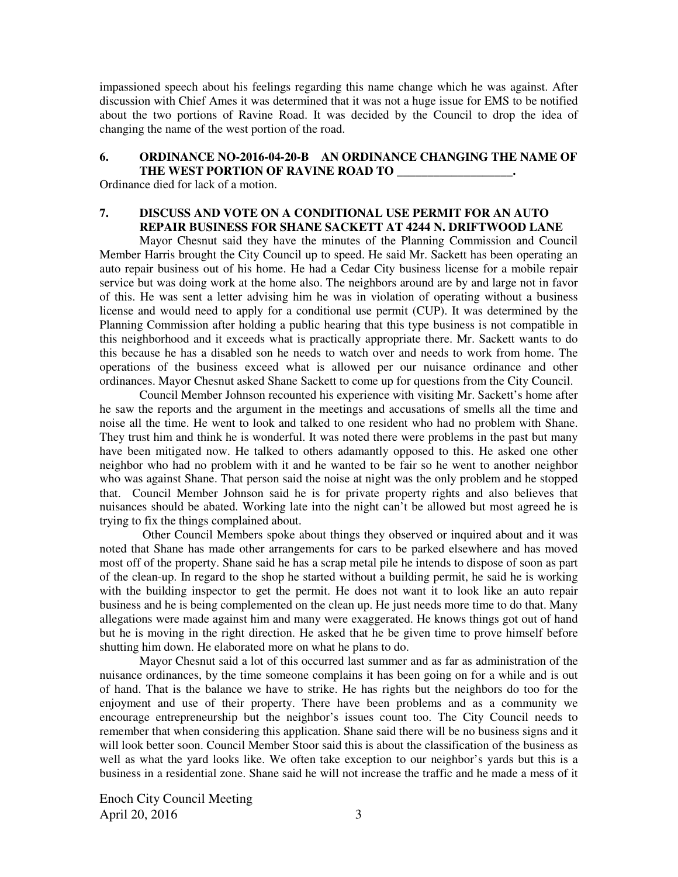impassioned speech about his feelings regarding this name change which he was against. After discussion with Chief Ames it was determined that it was not a huge issue for EMS to be notified about the two portions of Ravine Road. It was decided by the Council to drop the idea of changing the name of the west portion of the road.

## **6. ORDINANCE NO-2016-04-20-B AN ORDINANCE CHANGING THE NAME OF THE WEST PORTION OF RAVINE ROAD TO \_\_\_\_\_\_\_\_\_\_\_\_\_\_\_\_\_\_\_.**

Ordinance died for lack of a motion.

# **7. DISCUSS AND VOTE ON A CONDITIONAL USE PERMIT FOR AN AUTO REPAIR BUSINESS FOR SHANE SACKETT AT 4244 N. DRIFTWOOD LANE**

Mayor Chesnut said they have the minutes of the Planning Commission and Council Member Harris brought the City Council up to speed. He said Mr. Sackett has been operating an auto repair business out of his home. He had a Cedar City business license for a mobile repair service but was doing work at the home also. The neighbors around are by and large not in favor of this. He was sent a letter advising him he was in violation of operating without a business license and would need to apply for a conditional use permit (CUP). It was determined by the Planning Commission after holding a public hearing that this type business is not compatible in this neighborhood and it exceeds what is practically appropriate there. Mr. Sackett wants to do this because he has a disabled son he needs to watch over and needs to work from home. The operations of the business exceed what is allowed per our nuisance ordinance and other ordinances. Mayor Chesnut asked Shane Sackett to come up for questions from the City Council.

Council Member Johnson recounted his experience with visiting Mr. Sackett's home after he saw the reports and the argument in the meetings and accusations of smells all the time and noise all the time. He went to look and talked to one resident who had no problem with Shane. They trust him and think he is wonderful. It was noted there were problems in the past but many have been mitigated now. He talked to others adamantly opposed to this. He asked one other neighbor who had no problem with it and he wanted to be fair so he went to another neighbor who was against Shane. That person said the noise at night was the only problem and he stopped that. Council Member Johnson said he is for private property rights and also believes that nuisances should be abated. Working late into the night can't be allowed but most agreed he is trying to fix the things complained about.

 Other Council Members spoke about things they observed or inquired about and it was noted that Shane has made other arrangements for cars to be parked elsewhere and has moved most off of the property. Shane said he has a scrap metal pile he intends to dispose of soon as part of the clean-up. In regard to the shop he started without a building permit, he said he is working with the building inspector to get the permit. He does not want it to look like an auto repair business and he is being complemented on the clean up. He just needs more time to do that. Many allegations were made against him and many were exaggerated. He knows things got out of hand but he is moving in the right direction. He asked that he be given time to prove himself before shutting him down. He elaborated more on what he plans to do.

Mayor Chesnut said a lot of this occurred last summer and as far as administration of the nuisance ordinances, by the time someone complains it has been going on for a while and is out of hand. That is the balance we have to strike. He has rights but the neighbors do too for the enjoyment and use of their property. There have been problems and as a community we encourage entrepreneurship but the neighbor's issues count too. The City Council needs to remember that when considering this application. Shane said there will be no business signs and it will look better soon. Council Member Stoor said this is about the classification of the business as well as what the yard looks like. We often take exception to our neighbor's yards but this is a business in a residential zone. Shane said he will not increase the traffic and he made a mess of it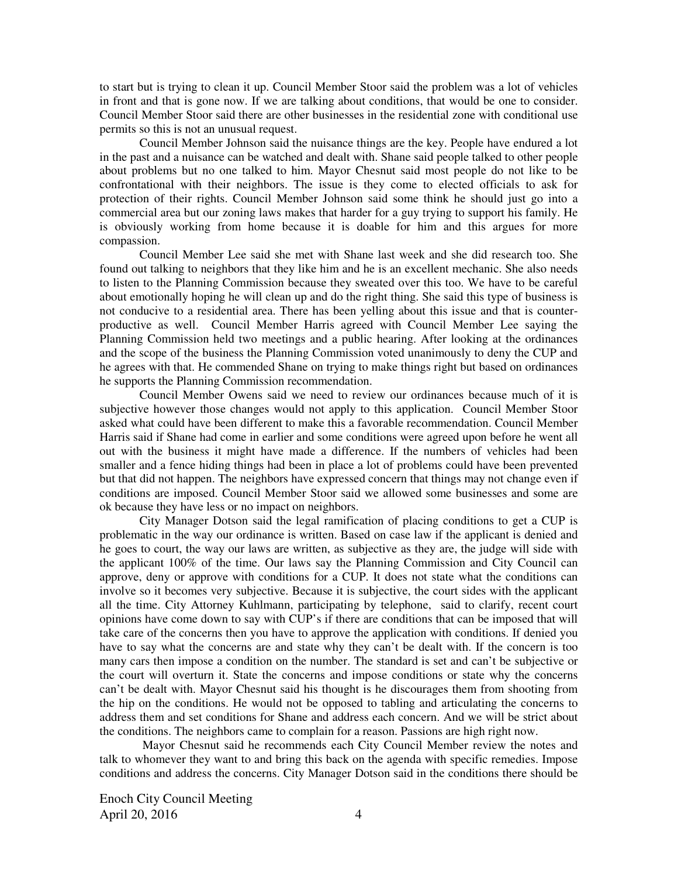to start but is trying to clean it up. Council Member Stoor said the problem was a lot of vehicles in front and that is gone now. If we are talking about conditions, that would be one to consider. Council Member Stoor said there are other businesses in the residential zone with conditional use permits so this is not an unusual request.

Council Member Johnson said the nuisance things are the key. People have endured a lot in the past and a nuisance can be watched and dealt with. Shane said people talked to other people about problems but no one talked to him. Mayor Chesnut said most people do not like to be confrontational with their neighbors. The issue is they come to elected officials to ask for protection of their rights. Council Member Johnson said some think he should just go into a commercial area but our zoning laws makes that harder for a guy trying to support his family. He is obviously working from home because it is doable for him and this argues for more compassion.

Council Member Lee said she met with Shane last week and she did research too. She found out talking to neighbors that they like him and he is an excellent mechanic. She also needs to listen to the Planning Commission because they sweated over this too. We have to be careful about emotionally hoping he will clean up and do the right thing. She said this type of business is not conducive to a residential area. There has been yelling about this issue and that is counterproductive as well. Council Member Harris agreed with Council Member Lee saying the Planning Commission held two meetings and a public hearing. After looking at the ordinances and the scope of the business the Planning Commission voted unanimously to deny the CUP and he agrees with that. He commended Shane on trying to make things right but based on ordinances he supports the Planning Commission recommendation.

Council Member Owens said we need to review our ordinances because much of it is subjective however those changes would not apply to this application. Council Member Stoor asked what could have been different to make this a favorable recommendation. Council Member Harris said if Shane had come in earlier and some conditions were agreed upon before he went all out with the business it might have made a difference. If the numbers of vehicles had been smaller and a fence hiding things had been in place a lot of problems could have been prevented but that did not happen. The neighbors have expressed concern that things may not change even if conditions are imposed. Council Member Stoor said we allowed some businesses and some are ok because they have less or no impact on neighbors.

City Manager Dotson said the legal ramification of placing conditions to get a CUP is problematic in the way our ordinance is written. Based on case law if the applicant is denied and he goes to court, the way our laws are written, as subjective as they are, the judge will side with the applicant 100% of the time. Our laws say the Planning Commission and City Council can approve, deny or approve with conditions for a CUP. It does not state what the conditions can involve so it becomes very subjective. Because it is subjective, the court sides with the applicant all the time. City Attorney Kuhlmann, participating by telephone, said to clarify, recent court opinions have come down to say with CUP's if there are conditions that can be imposed that will take care of the concerns then you have to approve the application with conditions. If denied you have to say what the concerns are and state why they can't be dealt with. If the concern is too many cars then impose a condition on the number. The standard is set and can't be subjective or the court will overturn it. State the concerns and impose conditions or state why the concerns can't be dealt with. Mayor Chesnut said his thought is he discourages them from shooting from the hip on the conditions. He would not be opposed to tabling and articulating the concerns to address them and set conditions for Shane and address each concern. And we will be strict about the conditions. The neighbors came to complain for a reason. Passions are high right now.

 Mayor Chesnut said he recommends each City Council Member review the notes and talk to whomever they want to and bring this back on the agenda with specific remedies. Impose conditions and address the concerns. City Manager Dotson said in the conditions there should be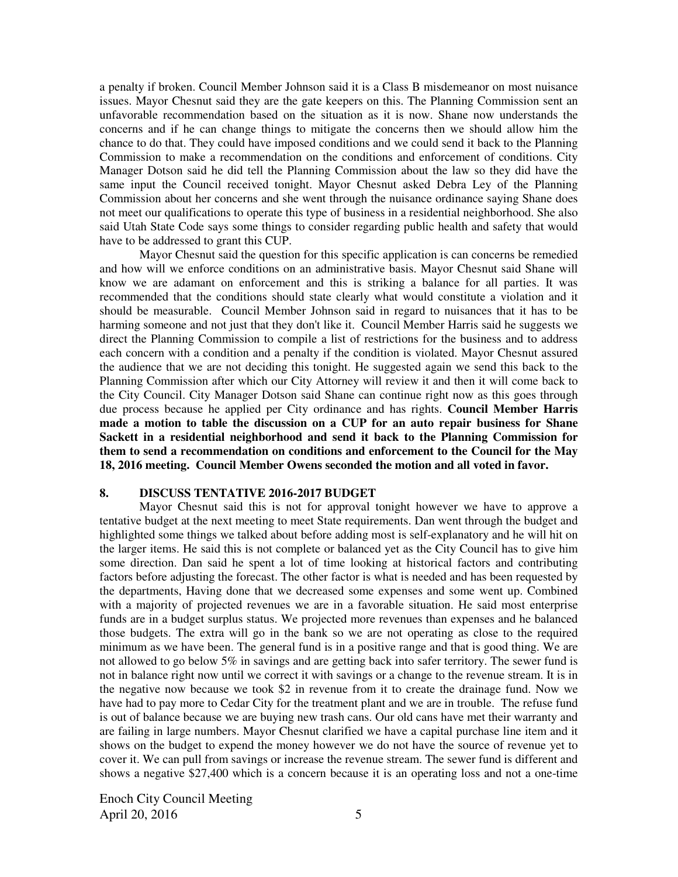a penalty if broken. Council Member Johnson said it is a Class B misdemeanor on most nuisance issues. Mayor Chesnut said they are the gate keepers on this. The Planning Commission sent an unfavorable recommendation based on the situation as it is now. Shane now understands the concerns and if he can change things to mitigate the concerns then we should allow him the chance to do that. They could have imposed conditions and we could send it back to the Planning Commission to make a recommendation on the conditions and enforcement of conditions. City Manager Dotson said he did tell the Planning Commission about the law so they did have the same input the Council received tonight. Mayor Chesnut asked Debra Ley of the Planning Commission about her concerns and she went through the nuisance ordinance saying Shane does not meet our qualifications to operate this type of business in a residential neighborhood. She also said Utah State Code says some things to consider regarding public health and safety that would have to be addressed to grant this CUP.

Mayor Chesnut said the question for this specific application is can concerns be remedied and how will we enforce conditions on an administrative basis. Mayor Chesnut said Shane will know we are adamant on enforcement and this is striking a balance for all parties. It was recommended that the conditions should state clearly what would constitute a violation and it should be measurable. Council Member Johnson said in regard to nuisances that it has to be harming someone and not just that they don't like it. Council Member Harris said he suggests we direct the Planning Commission to compile a list of restrictions for the business and to address each concern with a condition and a penalty if the condition is violated. Mayor Chesnut assured the audience that we are not deciding this tonight. He suggested again we send this back to the Planning Commission after which our City Attorney will review it and then it will come back to the City Council. City Manager Dotson said Shane can continue right now as this goes through due process because he applied per City ordinance and has rights. **Council Member Harris made a motion to table the discussion on a CUP for an auto repair business for Shane Sackett in a residential neighborhood and send it back to the Planning Commission for them to send a recommendation on conditions and enforcement to the Council for the May 18, 2016 meeting. Council Member Owens seconded the motion and all voted in favor.** 

### **8. DISCUSS TENTATIVE 2016-2017 BUDGET**

Mayor Chesnut said this is not for approval tonight however we have to approve a tentative budget at the next meeting to meet State requirements. Dan went through the budget and highlighted some things we talked about before adding most is self-explanatory and he will hit on the larger items. He said this is not complete or balanced yet as the City Council has to give him some direction. Dan said he spent a lot of time looking at historical factors and contributing factors before adjusting the forecast. The other factor is what is needed and has been requested by the departments, Having done that we decreased some expenses and some went up. Combined with a majority of projected revenues we are in a favorable situation. He said most enterprise funds are in a budget surplus status. We projected more revenues than expenses and he balanced those budgets. The extra will go in the bank so we are not operating as close to the required minimum as we have been. The general fund is in a positive range and that is good thing. We are not allowed to go below 5% in savings and are getting back into safer territory. The sewer fund is not in balance right now until we correct it with savings or a change to the revenue stream. It is in the negative now because we took \$2 in revenue from it to create the drainage fund. Now we have had to pay more to Cedar City for the treatment plant and we are in trouble. The refuse fund is out of balance because we are buying new trash cans. Our old cans have met their warranty and are failing in large numbers. Mayor Chesnut clarified we have a capital purchase line item and it shows on the budget to expend the money however we do not have the source of revenue yet to cover it. We can pull from savings or increase the revenue stream. The sewer fund is different and shows a negative \$27,400 which is a concern because it is an operating loss and not a one-time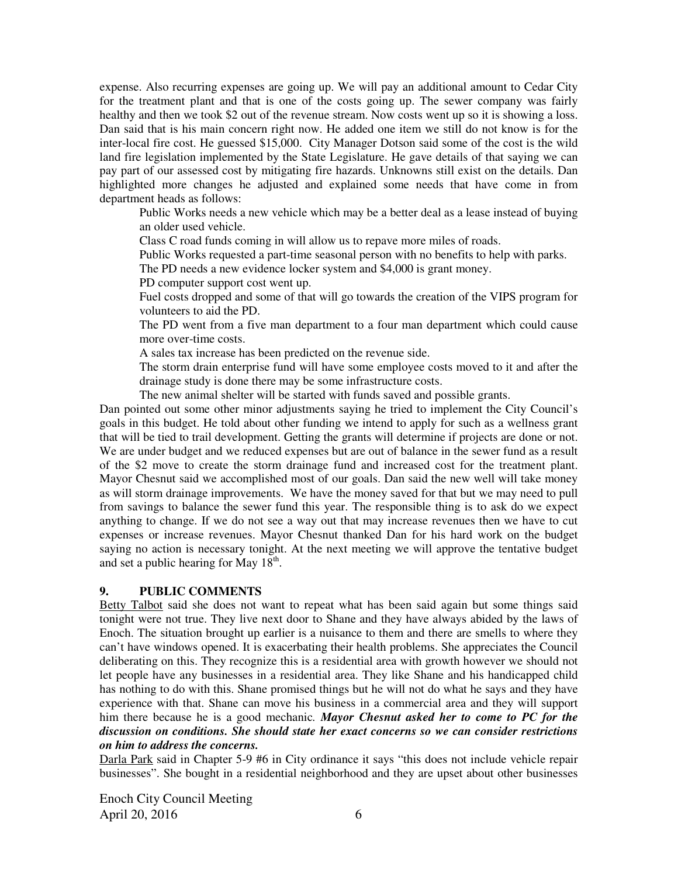expense. Also recurring expenses are going up. We will pay an additional amount to Cedar City for the treatment plant and that is one of the costs going up. The sewer company was fairly healthy and then we took \$2 out of the revenue stream. Now costs went up so it is showing a loss. Dan said that is his main concern right now. He added one item we still do not know is for the inter-local fire cost. He guessed \$15,000. City Manager Dotson said some of the cost is the wild land fire legislation implemented by the State Legislature. He gave details of that saying we can pay part of our assessed cost by mitigating fire hazards. Unknowns still exist on the details. Dan highlighted more changes he adjusted and explained some needs that have come in from department heads as follows:

Public Works needs a new vehicle which may be a better deal as a lease instead of buying an older used vehicle.

Class C road funds coming in will allow us to repave more miles of roads.

Public Works requested a part-time seasonal person with no benefits to help with parks.

The PD needs a new evidence locker system and \$4,000 is grant money.

PD computer support cost went up.

Fuel costs dropped and some of that will go towards the creation of the VIPS program for volunteers to aid the PD.

The PD went from a five man department to a four man department which could cause more over-time costs.

A sales tax increase has been predicted on the revenue side.

The storm drain enterprise fund will have some employee costs moved to it and after the drainage study is done there may be some infrastructure costs.

The new animal shelter will be started with funds saved and possible grants.

Dan pointed out some other minor adjustments saying he tried to implement the City Council's goals in this budget. He told about other funding we intend to apply for such as a wellness grant that will be tied to trail development. Getting the grants will determine if projects are done or not. We are under budget and we reduced expenses but are out of balance in the sewer fund as a result of the \$2 move to create the storm drainage fund and increased cost for the treatment plant. Mayor Chesnut said we accomplished most of our goals. Dan said the new well will take money as will storm drainage improvements. We have the money saved for that but we may need to pull from savings to balance the sewer fund this year. The responsible thing is to ask do we expect anything to change. If we do not see a way out that may increase revenues then we have to cut expenses or increase revenues. Mayor Chesnut thanked Dan for his hard work on the budget saying no action is necessary tonight. At the next meeting we will approve the tentative budget and set a public hearing for May  $18^{th}$ .

## **9. PUBLIC COMMENTS**

Betty Talbot said she does not want to repeat what has been said again but some things said tonight were not true. They live next door to Shane and they have always abided by the laws of Enoch. The situation brought up earlier is a nuisance to them and there are smells to where they can't have windows opened. It is exacerbating their health problems. She appreciates the Council deliberating on this. They recognize this is a residential area with growth however we should not let people have any businesses in a residential area. They like Shane and his handicapped child has nothing to do with this. Shane promised things but he will not do what he says and they have experience with that. Shane can move his business in a commercial area and they will support him there because he is a good mechanic*. Mayor Chesnut asked her to come to PC for the discussion on conditions. She should state her exact concerns so we can consider restrictions on him to address the concerns.* 

Darla Park said in Chapter 5-9 #6 in City ordinance it says "this does not include vehicle repair businesses". She bought in a residential neighborhood and they are upset about other businesses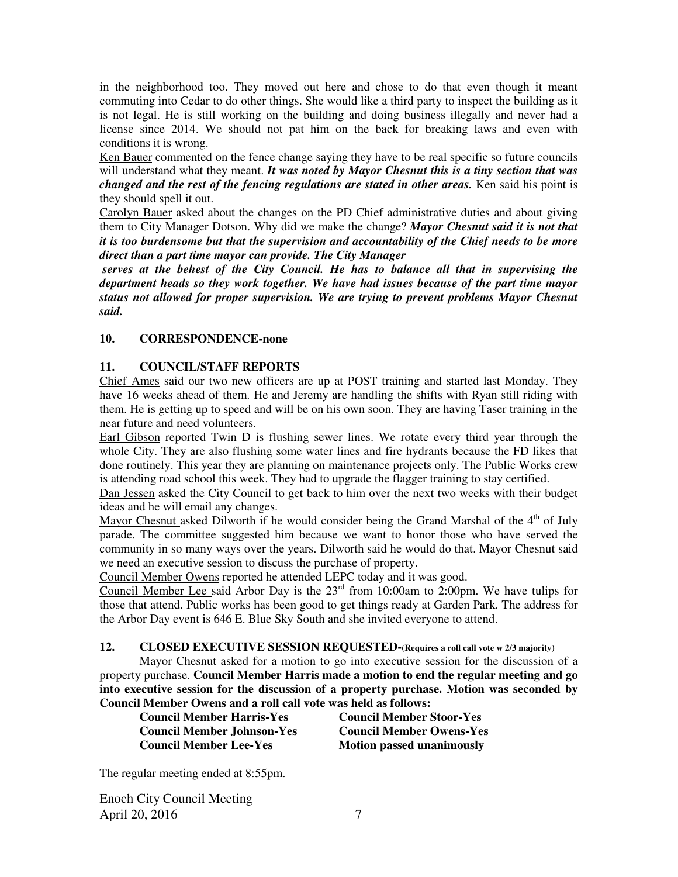in the neighborhood too. They moved out here and chose to do that even though it meant commuting into Cedar to do other things. She would like a third party to inspect the building as it is not legal. He is still working on the building and doing business illegally and never had a license since 2014. We should not pat him on the back for breaking laws and even with conditions it is wrong.

Ken Bauer commented on the fence change saying they have to be real specific so future councils will understand what they meant. *It was noted by Mayor Chesnut this is a tiny section that was changed and the rest of the fencing regulations are stated in other areas.* Ken said his point is they should spell it out.

Carolyn Bauer asked about the changes on the PD Chief administrative duties and about giving them to City Manager Dotson. Why did we make the change? *Mayor Chesnut said it is not that it is too burdensome but that the supervision and accountability of the Chief needs to be more direct than a part time mayor can provide. The City Manager* 

 *serves at the behest of the City Council. He has to balance all that in supervising the department heads so they work together. We have had issues because of the part time mayor status not allowed for proper supervision. We are trying to prevent problems Mayor Chesnut said.* 

# **10. CORRESPONDENCE-none**

# **11. COUNCIL/STAFF REPORTS**

Chief Ames said our two new officers are up at POST training and started last Monday. They have 16 weeks ahead of them. He and Jeremy are handling the shifts with Ryan still riding with them. He is getting up to speed and will be on his own soon. They are having Taser training in the near future and need volunteers.

Earl Gibson reported Twin D is flushing sewer lines. We rotate every third year through the whole City. They are also flushing some water lines and fire hydrants because the FD likes that done routinely. This year they are planning on maintenance projects only. The Public Works crew is attending road school this week. They had to upgrade the flagger training to stay certified.

Dan Jessen asked the City Council to get back to him over the next two weeks with their budget ideas and he will email any changes.

Mayor Chesnut asked Dilworth if he would consider being the Grand Marshal of the  $4<sup>th</sup>$  of July parade. The committee suggested him because we want to honor those who have served the community in so many ways over the years. Dilworth said he would do that. Mayor Chesnut said we need an executive session to discuss the purchase of property.

Council Member Owens reported he attended LEPC today and it was good.

Council Member Lee said Arbor Day is the  $23<sup>rd</sup>$  from 10:00am to 2:00pm. We have tulips for those that attend. Public works has been good to get things ready at Garden Park. The address for the Arbor Day event is 646 E. Blue Sky South and she invited everyone to attend.

# **12. CLOSED EXECUTIVE SESSION REQUESTED-(Requires a roll call vote w 2/3 majority)**

Mayor Chesnut asked for a motion to go into executive session for the discussion of a property purchase. **Council Member Harris made a motion to end the regular meeting and go into executive session for the discussion of a property purchase. Motion was seconded by Council Member Owens and a roll call vote was held as follows:** 

**Council Member Harris-Yes Council Member Stoor-Yes Council Member Johnson-Yes Council Member Owens-Yes Council Member Lee-Yes Motion passed unanimously** 

The regular meeting ended at 8:55pm.